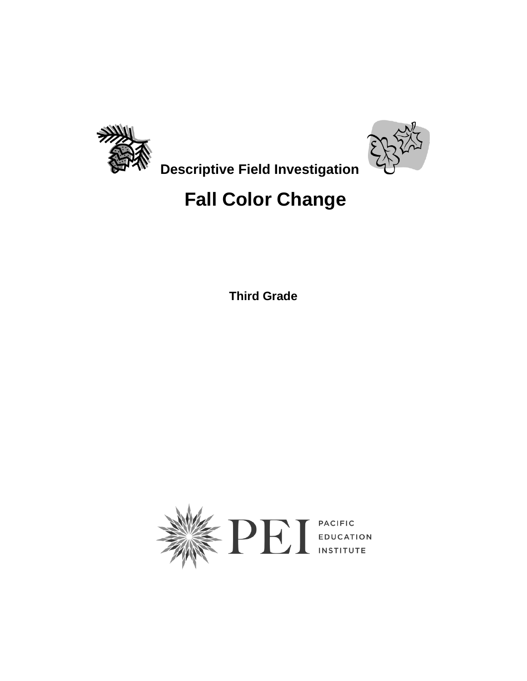



 **Descriptive Field Investigation**

## **Fall Color Change**

**Third Grade** 

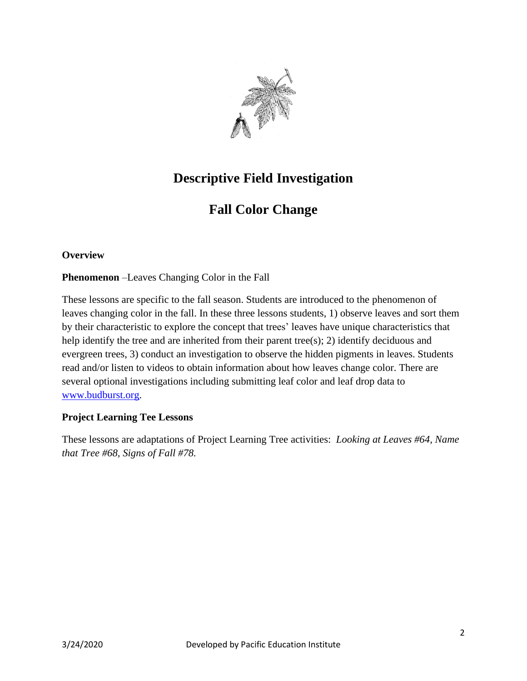

## **Descriptive Field Investigation**

## **Fall Color Change**

#### **Overview**

**Phenomenon** –Leaves Changing Color in the Fall

These lessons are specific to the fall season. Students are introduced to the phenomenon of leaves changing color in the fall. In these three lessons students, 1) observe leaves and sort them by their characteristic to explore the concept that trees' leaves have unique characteristics that help identify the tree and are inherited from their parent tree(s); 2) identify deciduous and evergreen trees, 3) conduct an investigation to observe the hidden pigments in leaves. Students read and/or listen to videos to obtain information about how leaves change color. There are several optional investigations including submitting leaf color and leaf drop data to [www.budburst.org.](http://www.budburst.org/)

#### **Project Learning Tee Lessons**

These lessons are adaptations of Project Learning Tree activities: *Looking at Leaves #64, Name that Tree #68, Signs of Fall #78.*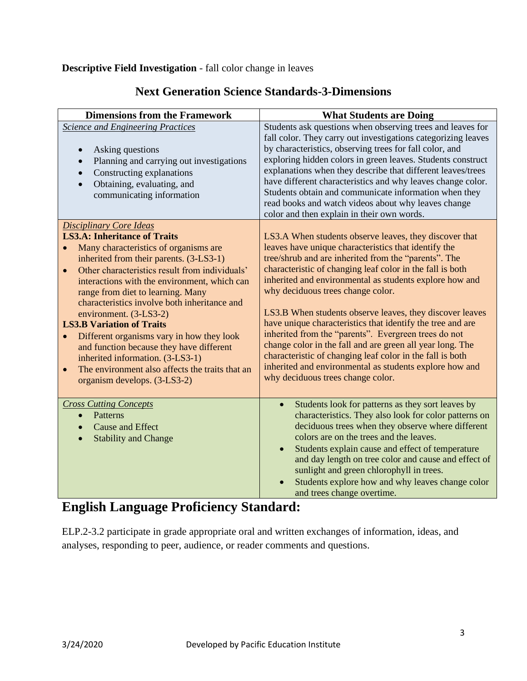#### **Descriptive Field Investigation** - fall color change in leaves

| <b>Dimensions from the Framework</b>                                                                                                                                                                                                                                                                                                                                                                                                                                                                                                                                                                                                                                               | <b>What Students are Doing</b>                                                                                                                                                                                                                                                                                                                                                                                                                                                                                                                                                                                                                                                                                                                  |
|------------------------------------------------------------------------------------------------------------------------------------------------------------------------------------------------------------------------------------------------------------------------------------------------------------------------------------------------------------------------------------------------------------------------------------------------------------------------------------------------------------------------------------------------------------------------------------------------------------------------------------------------------------------------------------|-------------------------------------------------------------------------------------------------------------------------------------------------------------------------------------------------------------------------------------------------------------------------------------------------------------------------------------------------------------------------------------------------------------------------------------------------------------------------------------------------------------------------------------------------------------------------------------------------------------------------------------------------------------------------------------------------------------------------------------------------|
| <b>Science and Engineering Practices</b><br>Asking questions<br>Planning and carrying out investigations<br>$\bullet$<br>Constructing explanations<br>$\bullet$<br>Obtaining, evaluating, and<br>$\bullet$<br>communicating information                                                                                                                                                                                                                                                                                                                                                                                                                                            | Students ask questions when observing trees and leaves for<br>fall color. They carry out investigations categorizing leaves<br>by characteristics, observing trees for fall color, and<br>exploring hidden colors in green leaves. Students construct<br>explanations when they describe that different leaves/trees<br>have different characteristics and why leaves change color.<br>Students obtain and communicate information when they<br>read books and watch videos about why leaves change<br>color and then explain in their own words.                                                                                                                                                                                               |
| <b>Disciplinary Core Ideas</b><br><b>LS3.A: Inheritance of Traits</b><br>Many characteristics of organisms are<br>$\bullet$<br>inherited from their parents. (3-LS3-1)<br>Other characteristics result from individuals'<br>$\bullet$<br>interactions with the environment, which can<br>range from diet to learning. Many<br>characteristics involve both inheritance and<br>environment. (3-LS3-2)<br><b>LS3.B Variation of Traits</b><br>Different organisms vary in how they look<br>$\bullet$<br>and function because they have different<br>inherited information. (3-LS3-1)<br>The environment also affects the traits that an<br>$\bullet$<br>organism develops. (3-LS3-2) | LS3.A When students observe leaves, they discover that<br>leaves have unique characteristics that identify the<br>tree/shrub and are inherited from the "parents". The<br>characteristic of changing leaf color in the fall is both<br>inherited and environmental as students explore how and<br>why deciduous trees change color.<br>LS3.B When students observe leaves, they discover leaves<br>have unique characteristics that identify the tree and are<br>inherited from the "parents". Evergreen trees do not<br>change color in the fall and are green all year long. The<br>characteristic of changing leaf color in the fall is both<br>inherited and environmental as students explore how and<br>why deciduous trees change color. |
| <b>Cross Cutting Concepts</b><br>Patterns<br>$\bullet$<br><b>Cause and Effect</b><br>$\bullet$<br><b>Stability and Change</b><br>$\bullet$                                                                                                                                                                                                                                                                                                                                                                                                                                                                                                                                         | Students look for patterns as they sort leaves by<br>$\bullet$<br>characteristics. They also look for color patterns on<br>deciduous trees when they observe where different<br>colors are on the trees and the leaves.<br>Students explain cause and effect of temperature<br>$\bullet$<br>and day length on tree color and cause and effect of<br>sunlight and green chlorophyll in trees.<br>Students explore how and why leaves change color<br>and trees change overtime.                                                                                                                                                                                                                                                                  |

#### **Next Generation Science Standards-3-Dimensions**

## **English Language Proficiency Standard:**

ELP.2-3.2 participate in grade appropriate oral and written exchanges of information, ideas, and analyses, responding to peer, audience, or reader comments and questions.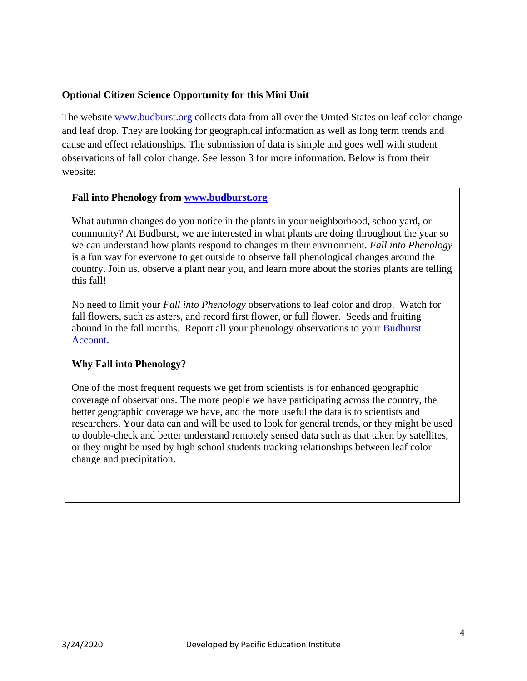#### **Optional Citizen Science Opportunity for this Mini Unit**

The website [www.budburst.org](http://www.budburst.org/) collects data from all over the United States on leaf color change and leaf drop. They are looking for geographical information as well as long term trends and cause and effect relationships. The submission of data is simple and goes well with student observations of fall color change. See lesson 3 for more information. Below is from their website:

#### **Fall into Phenology from [www.budburst.org](http://www.budburst.org/)**

What autumn changes do you notice in the plants in your neighborhood, schoolyard, or community? At Budburst, we are interested in what plants are doing throughout the year so we can understand how plants respond to changes in their environment. *Fall into Phenology* is a fun way for everyone to get outside to observe fall phenological changes around the country. Join us, observe a plant near you, and learn more about the stories plants are telling this fall!

No need to limit your *Fall into Phenology* observations to leaf color and drop. Watch for fall flowers, such as asters, and record first flower, or full flower. Seeds and fruiting abound in the fall months. Report all your phenology observations to your [Budburst](https://accounts.budburst.org/)  [Account.](https://accounts.budburst.org/)

#### **Why Fall into Phenology?**

One of the most frequent requests we get from scientists is for enhanced geographic coverage of observations. The more people we have participating across the country, the better geographic coverage we have, and the more useful the data is to scientists and researchers. Your data can and will be used to look for general trends, or they might be used to double-check and better understand remotely sensed data such as that taken by satellites, or they might be used by high school students tracking relationships between leaf color change and precipitation.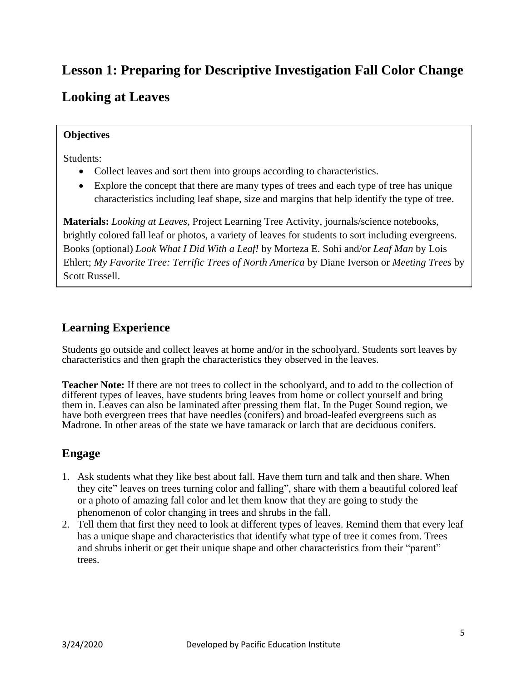## **Lesson 1: Preparing for Descriptive Investigation Fall Color Change**

## **Looking at Leaves**

#### **Objectives**

Students:

- Collect leaves and sort them into groups according to characteristics.
- Explore the concept that there are many types of trees and each type of tree has unique characteristics including leaf shape, size and margins that help identify the type of tree.

**Materials:** *Looking at Leaves*, Project Learning Tree Activity, journals/science notebooks, brightly colored fall leaf or photos, a variety of leaves for students to sort including evergreens. Books (optional) *Look What I Did With a Leaf!* by Morteza E. Sohi and/or *Leaf Man* by Lois Ehlert; *My Favorite Tree: Terrific Trees of North America* by Diane Iverson or *Meeting Trees* by Scott Russell.

#### **Learning Experience**

Students go outside and collect leaves at home and/or in the schoolyard. Students sort leaves by characteristics and then graph the characteristics they observed in the leaves.

**Teacher Note:** If there are not trees to collect in the schoolyard, and to add to the collection of different types of leaves, have students bring leaves from home or collect yourself and bring them in. Leaves can also be laminated after pressing them flat. In the Puget Sound region, we have both evergreen trees that have needles (conifers) and broad-leafed evergreens such as Madrone. In other areas of the state we have tamarack or larch that are deciduous conifers.

#### **Engage**

- 1. Ask students what they like best about fall. Have them turn and talk and then share. When they cite" leaves on trees turning color and falling", share with them a beautiful colored leaf or a photo of amazing fall color and let them know that they are going to study the phenomenon of color changing in trees and shrubs in the fall.
- 2. Tell them that first they need to look at different types of leaves. Remind them that every leaf has a unique shape and characteristics that identify what type of tree it comes from. Trees and shrubs inherit or get their unique shape and other characteristics from their "parent" trees.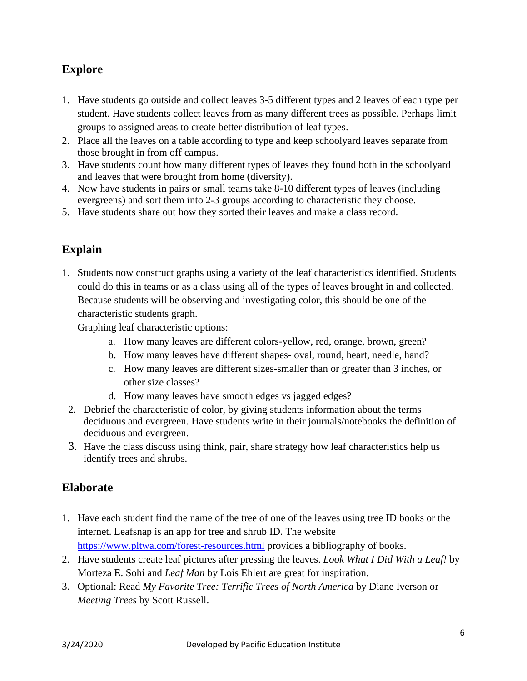#### **Explore**

- 1. Have students go outside and collect leaves 3-5 different types and 2 leaves of each type per student. Have students collect leaves from as many different trees as possible. Perhaps limit groups to assigned areas to create better distribution of leaf types.
- 2. Place all the leaves on a table according to type and keep schoolyard leaves separate from those brought in from off campus.
- 3. Have students count how many different types of leaves they found both in the schoolyard and leaves that were brought from home (diversity).
- 4. Now have students in pairs or small teams take 8-10 different types of leaves (including evergreens) and sort them into 2-3 groups according to characteristic they choose.
- 5. Have students share out how they sorted their leaves and make a class record.

### **Explain**

1. Students now construct graphs using a variety of the leaf characteristics identified. Students could do this in teams or as a class using all of the types of leaves brought in and collected. Because students will be observing and investigating color, this should be one of the characteristic students graph.

Graphing leaf characteristic options:

- a. How many leaves are different colors-yellow, red, orange, brown, green?
- b. How many leaves have different shapes- oval, round, heart, needle, hand?
- c. How many leaves are different sizes-smaller than or greater than 3 inches, or other size classes?
- d. How many leaves have smooth edges vs jagged edges?
- 2. Debrief the characteristic of color, by giving students information about the terms deciduous and evergreen. Have students write in their journals/notebooks the definition of deciduous and evergreen.
- 3. Have the class discuss using think, pair, share strategy how leaf characteristics help us identify trees and shrubs.

#### **Elaborate**

- 1. Have each student find the name of the tree of one of the leaves using tree ID books or the internet. Leafsnap is an app for tree and shrub ID. The website <https://www.pltwa.com/forest-resources.html> provides a bibliography of books.
- 2. Have students create leaf pictures after pressing the leaves. *Look What I Did With a Leaf!* by Morteza E. Sohi and *Leaf Man* by Lois Ehlert are great for inspiration.
- 3. Optional: Read *My Favorite Tree: Terrific Trees of North America* by Diane Iverson or *Meeting Trees* by Scott Russell.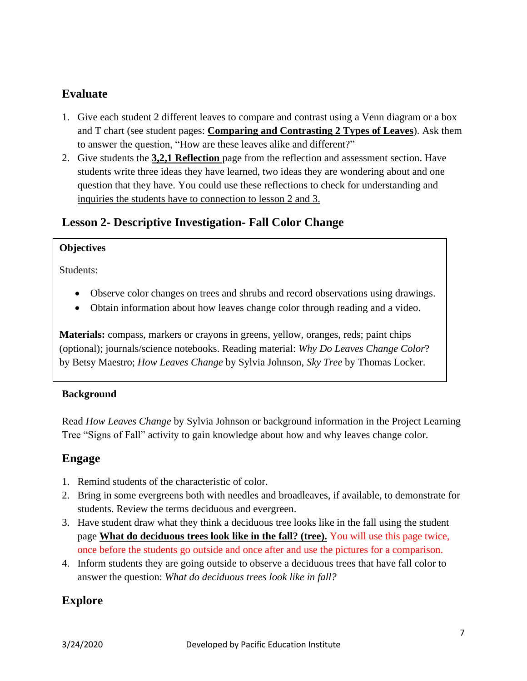#### **Evaluate**

- 1. Give each student 2 different leaves to compare and contrast using a Venn diagram or a box and T chart (see student pages: **Comparing and Contrasting 2 Types of Leaves**). Ask them to answer the question, "How are these leaves alike and different?"
- 2. Give students the **3,2,1 Reflection** page from the reflection and assessment section. Have students write three ideas they have learned, two ideas they are wondering about and one question that they have. You could use these reflections to check for understanding and inquiries the students have to connection to lesson 2 and 3.

#### **Lesson 2- Descriptive Investigation- Fall Color Change**

#### **Objectives**

Students:

- Observe color changes on trees and shrubs and record observations using drawings.
- Obtain information about how leaves change color through reading and a video.

**Materials:** compass, markers or crayons in greens, yellow, oranges, reds; paint chips (optional); journals/science notebooks. Reading material: *Why Do Leaves Change Color*? by Betsy Maestro; *How Leaves Change* by Sylvia Johnson, *Sky Tree* by Thomas Locker.

#### **Background**

Read *How Leaves Change* by Sylvia Johnson or background information in the Project Learning Tree "Signs of Fall" activity to gain knowledge about how and why leaves change color.

#### **Engage**

- 1. Remind students of the characteristic of color.
- 2. Bring in some evergreens both with needles and broadleaves, if available, to demonstrate for students. Review the terms deciduous and evergreen.
- 3. Have student draw what they think a deciduous tree looks like in the fall using the student page **What do deciduous trees look like in the fall? (tree).** You will use this page twice, once before the students go outside and once after and use the pictures for a comparison.
- 4. Inform students they are going outside to observe a deciduous trees that have fall color to answer the question: *What do deciduous trees look like in fall?*

#### **Explore**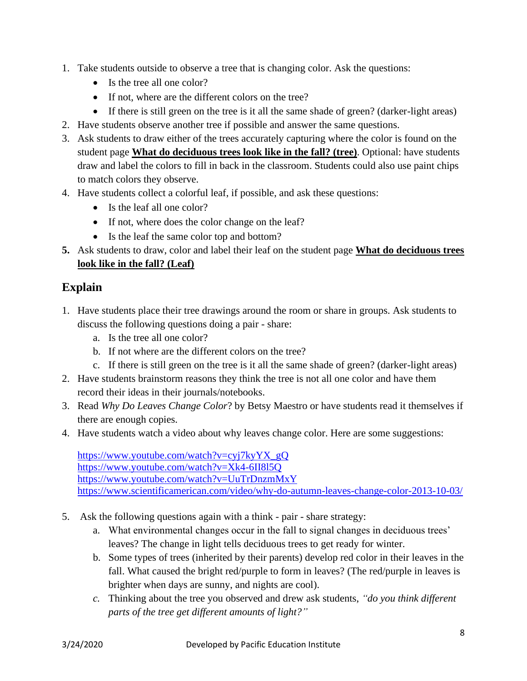- 1. Take students outside to observe a tree that is changing color. Ask the questions:
	- Is the tree all one color?
	- If not, where are the different colors on the tree?
	- If there is still green on the tree is it all the same shade of green? (darker-light areas)
- 2. Have students observe another tree if possible and answer the same questions.
- 3. Ask students to draw either of the trees accurately capturing where the color is found on the student page **What do deciduous trees look like in the fall? (tree)**. Optional: have students draw and label the colors to fill in back in the classroom. Students could also use paint chips to match colors they observe.
- 4. Have students collect a colorful leaf, if possible, and ask these questions:
	- Is the leaf all one color?
	- If not, where does the color change on the leaf?
	- Is the leaf the same color top and bottom?
- **5.** Ask students to draw, color and label their leaf on the student page **What do deciduous trees look like in the fall? (Leaf)**

#### **Explain**

- 1. Have students place their tree drawings around the room or share in groups. Ask students to discuss the following questions doing a pair - share:
	- a. Is the tree all one color?
	- b. If not where are the different colors on the tree?
	- c. If there is still green on the tree is it all the same shade of green? (darker-light areas)
- 2. Have students brainstorm reasons they think the tree is not all one color and have them record their ideas in their journals/notebooks.
- 3. Read *Why Do Leaves Change Color*? by Betsy Maestro or have students read it themselves if there are enough copies.
- 4. Have students watch a video about why leaves change color. Here are some suggestions:

[https://www.youtube.com/watch?v=cyj7kyYX\\_gQ](https://www.youtube.com/watch?v=cyj7kyYX_gQ%20) <https://www.youtube.com/watch?v=Xk4-6II8l5Q> <https://www.youtube.com/watch?v=UuTrDnzmMxY> <https://www.scientificamerican.com/video/why-do-autumn-leaves-change-color-2013-10-03/>

- 5. Ask the following questions again with a think pair share strategy:
	- a. What environmental changes occur in the fall to signal changes in deciduous trees' leaves? The change in light tells deciduous trees to get ready for winter.
	- b. Some types of trees (inherited by their parents) develop red color in their leaves in the fall. What caused the bright red/purple to form in leaves? (The red/purple in leaves is brighter when days are sunny, and nights are cool).
	- *c.* Thinking about the tree you observed and drew ask students, *"do you think different parts of the tree get different amounts of light?"*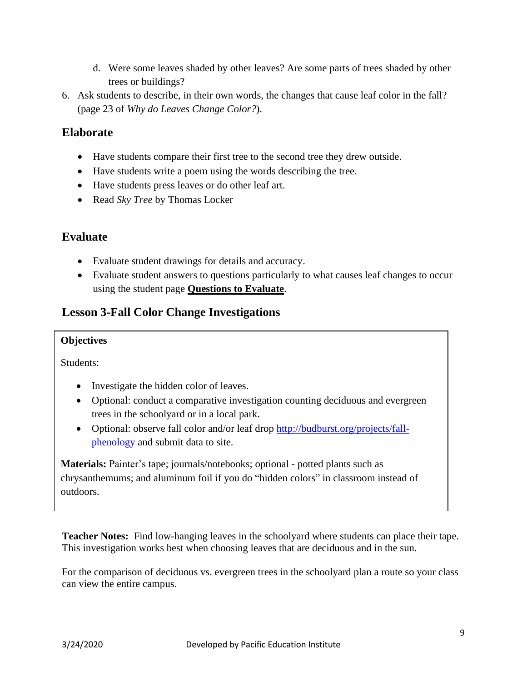- d. Were some leaves shaded by other leaves? Are some parts of trees shaded by other trees or buildings?
- 6. Ask students to describe, in their own words, the changes that cause leaf color in the fall? (page 23 of *Why do Leaves Change Color?*).

#### **Elaborate**

- Have students compare their first tree to the second tree they drew outside.
- Have students write a poem using the words describing the tree.
- Have students press leaves or do other leaf art.
- Read *Sky Tree* by Thomas Locker

#### **Evaluate**

- Evaluate student drawings for details and accuracy.
- Evaluate student answers to questions particularly to what causes leaf changes to occur using the student page **Questions to Evaluate**.

#### **Lesson 3-Fall Color Change Investigations**

#### **Objectives**

Students:

- Investigate the hidden color of leaves.
- Optional: conduct a comparative investigation counting deciduous and evergreen trees in the schoolyard or in a local park.
- Optional: observe fall color and/or leaf drop [http://budburst.org/projects/fall](http://budburst.org/projects/fall-phenology)[phenology](http://budburst.org/projects/fall-phenology) and submit data to site.

**Materials:** Painter's tape; journals/notebooks; optional - potted plants such as chrysanthemums; and aluminum foil if you do "hidden colors" in classroom instead of outdoors.

**Teacher Notes:** Find low-hanging leaves in the schoolyard where students can place their tape. This investigation works best when choosing leaves that are deciduous and in the sun.

For the comparison of deciduous vs. evergreen trees in the schoolyard plan a route so your class can view the entire campus.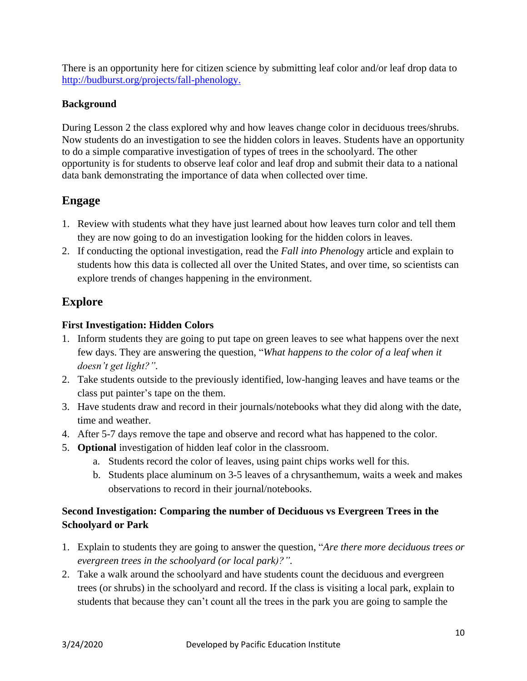There is an opportunity here for citizen science by submitting leaf color and/or leaf drop data to [http://budburst.org/projects/fall-phenology.](http://budburst.org/projects/fall-phenology)

#### **Background**

During Lesson 2 the class explored why and how leaves change color in deciduous trees/shrubs. Now students do an investigation to see the hidden colors in leaves. Students have an opportunity to do a simple comparative investigation of types of trees in the schoolyard. The other opportunity is for students to observe leaf color and leaf drop and submit their data to a national data bank demonstrating the importance of data when collected over time.

#### **Engage**

- 1. Review with students what they have just learned about how leaves turn color and tell them they are now going to do an investigation looking for the hidden colors in leaves.
- 2. If conducting the optional investigation, read the *Fall into Phenolog*y article and explain to students how this data is collected all over the United States, and over time, so scientists can explore trends of changes happening in the environment.

#### **Explore**

#### **First Investigation: Hidden Colors**

- 1. Inform students they are going to put tape on green leaves to see what happens over the next few days. They are answering the question, "*What happens to the color of a leaf when it doesn't get light?".*
- 2. Take students outside to the previously identified, low-hanging leaves and have teams or the class put painter's tape on the them.
- 3. Have students draw and record in their journals/notebooks what they did along with the date, time and weather.
- 4. After 5-7 days remove the tape and observe and record what has happened to the color.
- 5. **Optional** investigation of hidden leaf color in the classroom.
	- a. Students record the color of leaves, using paint chips works well for this.
	- b. Students place aluminum on 3-5 leaves of a chrysanthemum, waits a week and makes observations to record in their journal/notebooks.

#### **Second Investigation: Comparing the number of Deciduous vs Evergreen Trees in the Schoolyard or Park**

- 1. Explain to students they are going to answer the question, "*Are there more deciduous trees or evergreen trees in the schoolyard (or local park)?".*
- 2. Take a walk around the schoolyard and have students count the deciduous and evergreen trees (or shrubs) in the schoolyard and record. If the class is visiting a local park, explain to students that because they can't count all the trees in the park you are going to sample the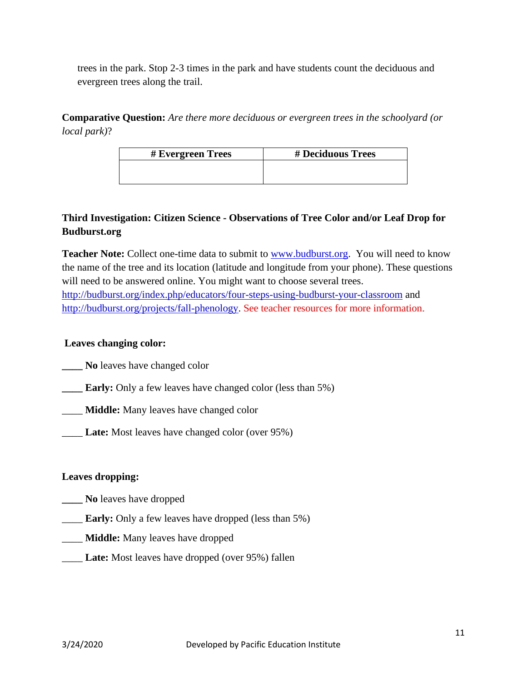trees in the park. Stop 2-3 times in the park and have students count the deciduous and evergreen trees along the trail.

**Comparative Question:** *Are there more deciduous or evergreen trees in the schoolyard (or local park)*?

| # Evergreen Trees | # Deciduous Trees |
|-------------------|-------------------|
|                   |                   |
|                   |                   |

#### **Third Investigation: Citizen Science - Observations of Tree Color and/or Leaf Drop for Budburst.org**

**Teacher Note:** Collect one-time data to submit to **www.budburst.org.** You will need to know the name of the tree and its location (latitude and longitude from your phone). These questions will need to be answered online. You might want to choose several trees. <http://budburst.org/index.php/educators/four-steps-using-budburst-your-classroom> and [http://budburst.org/projects/fall-phenology.](http://budburst.org/projects/fall-phenology) See teacher resources for more information.

#### **Leaves changing color:**

**\_\_\_\_ No** leaves have changed color

- **Early:** Only a few leaves have changed color (less than 5%)
- \_\_\_\_ **Middle:** Many leaves have changed color
- \_\_\_\_ **Late:** Most leaves have changed color (over 95%)

#### **Leaves dropping:**

- **\_\_\_\_ No** leaves have dropped
- **Early:** Only a few leaves have dropped (less than 5%)
- \_\_\_\_ **Middle:** Many leaves have dropped
- \_\_\_\_ **Late:** Most leaves have dropped (over 95%) fallen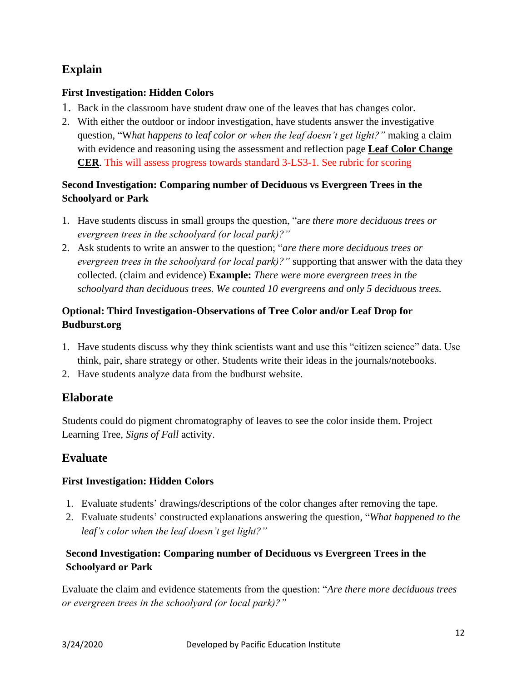#### **Explain**

#### **First Investigation: Hidden Colors**

- 1. Back in the classroom have student draw one of the leaves that has changes color.
- 2. With either the outdoor or indoor investigation, have students answer the investigative question, "W*hat happens to leaf color or when the leaf doesn't get light?"* making a claim with evidence and reasoning using the assessment and reflection page **Leaf Color Change CER**. This will assess progress towards standard 3-LS3-1. See rubric for scoring

#### **Second Investigation: Comparing number of Deciduous vs Evergreen Trees in the Schoolyard or Park**

- 1. Have students discuss in small groups the question, "a*re there more deciduous trees or evergreen trees in the schoolyard (or local park)?"*
- 2. Ask students to write an answer to the question; "*are there more deciduous trees or evergreen trees in the schoolyard (or local park)?"* supporting that answer with the data they collected. (claim and evidence) **Example:** *There were more evergreen trees in the schoolyard than deciduous trees. We counted 10 evergreens and only 5 deciduous trees.*

#### **Optional: Third Investigation-Observations of Tree Color and/or Leaf Drop for Budburst.org**

- 1. Have students discuss why they think scientists want and use this "citizen science" data. Use think, pair, share strategy or other. Students write their ideas in the journals/notebooks.
- 2. Have students analyze data from the budburst website.

#### **Elaborate**

Students could do pigment chromatography of leaves to see the color inside them. Project Learning Tree, *Signs of Fall* activity.

#### **Evaluate**

#### **First Investigation: Hidden Colors**

- 1. Evaluate students' drawings/descriptions of the color changes after removing the tape.
- 2. Evaluate students' constructed explanations answering the question, "*What happened to the leaf's color when the leaf doesn't get light?"*

#### **Second Investigation: Comparing number of Deciduous vs Evergreen Trees in the Schoolyard or Park**

Evaluate the claim and evidence statements from the question: "*Are there more deciduous trees or evergreen trees in the schoolyard (or local park)?"*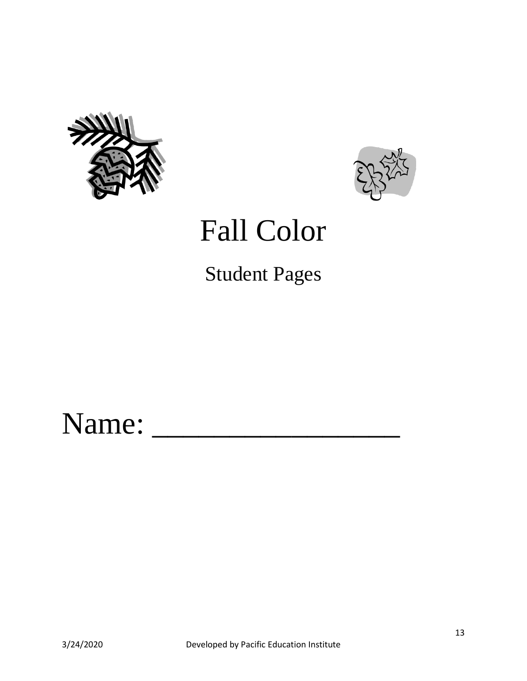



## Fall Color

Student Pages

## Name: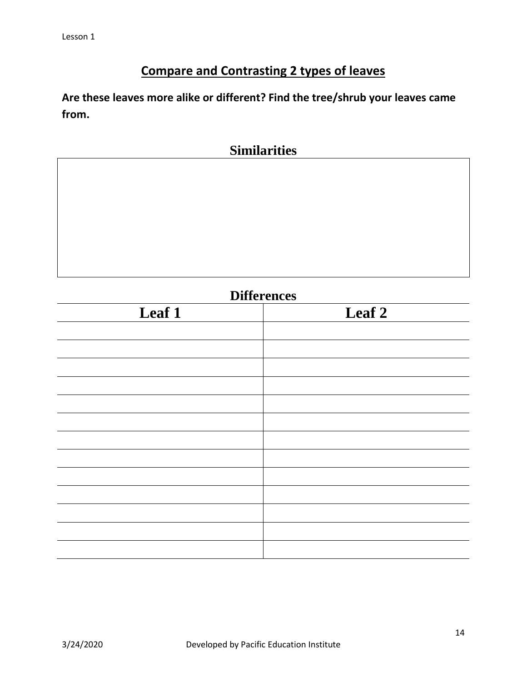## **Compare and Contrasting 2 types of leaves**

**Are these leaves more alike or different? Find the tree/shrub your leaves came from.**

### **Similarities**

| <b>Differences</b> |                   |  |  |  |
|--------------------|-------------------|--|--|--|
| Leaf 1             | Leaf <sub>2</sub> |  |  |  |
|                    |                   |  |  |  |
|                    |                   |  |  |  |
|                    |                   |  |  |  |
|                    |                   |  |  |  |
|                    |                   |  |  |  |
|                    |                   |  |  |  |
|                    |                   |  |  |  |
|                    |                   |  |  |  |
|                    |                   |  |  |  |
|                    |                   |  |  |  |
|                    |                   |  |  |  |
|                    |                   |  |  |  |
|                    |                   |  |  |  |
|                    |                   |  |  |  |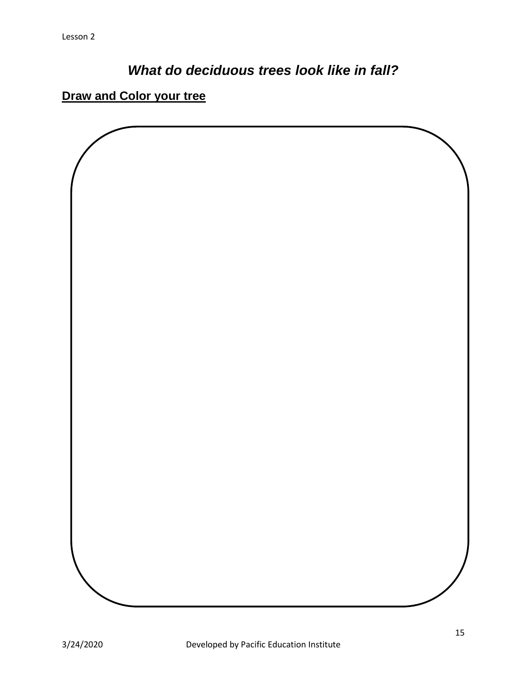## *What do deciduous trees look like in fall?*

## **Draw and Color your tree**

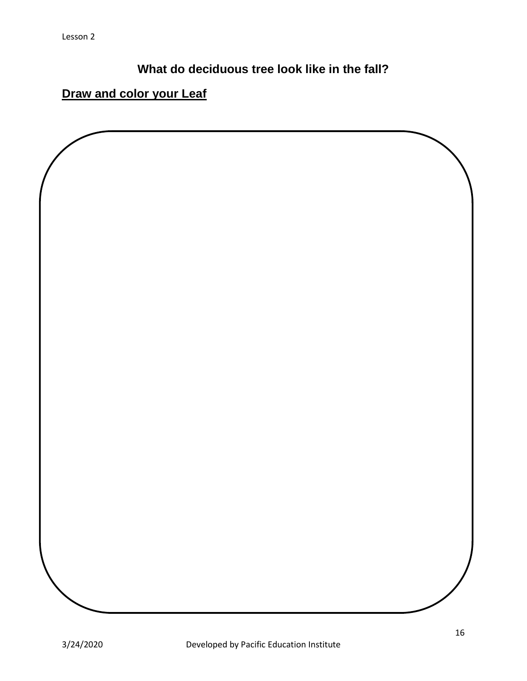**What do deciduous tree look like in the fall?**

## **Draw and color your Leaf**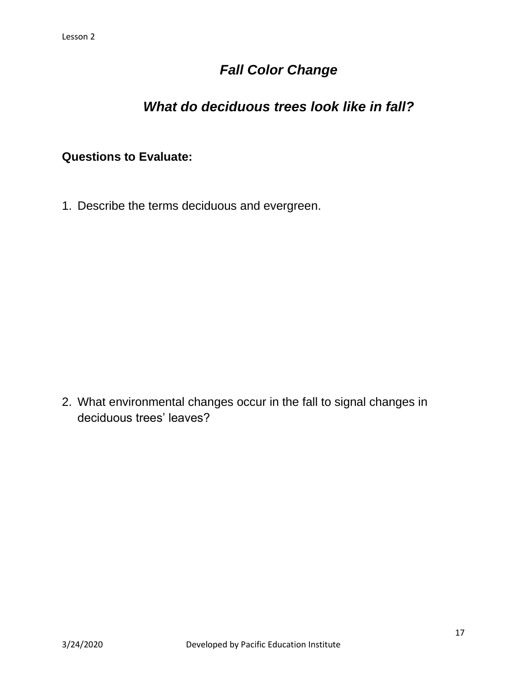## *Fall Color Change*

## *What do deciduous trees look like in fall?*

#### **Questions to Evaluate:**

1. Describe the terms deciduous and evergreen.

2. What environmental changes occur in the fall to signal changes in deciduous trees' leaves?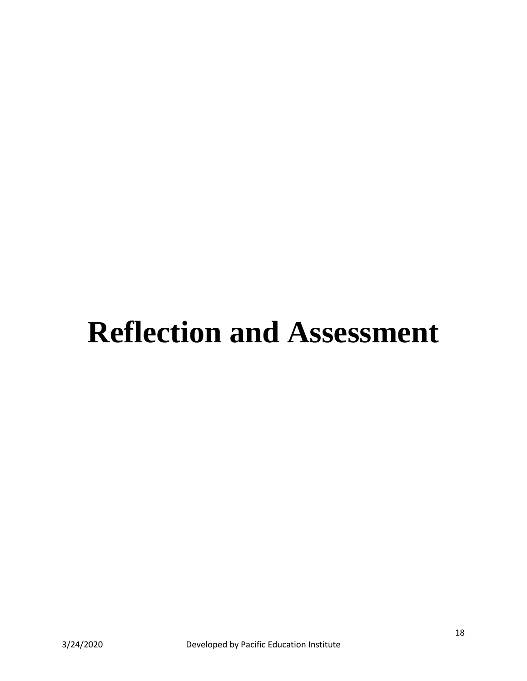## **Reflection and Assessment**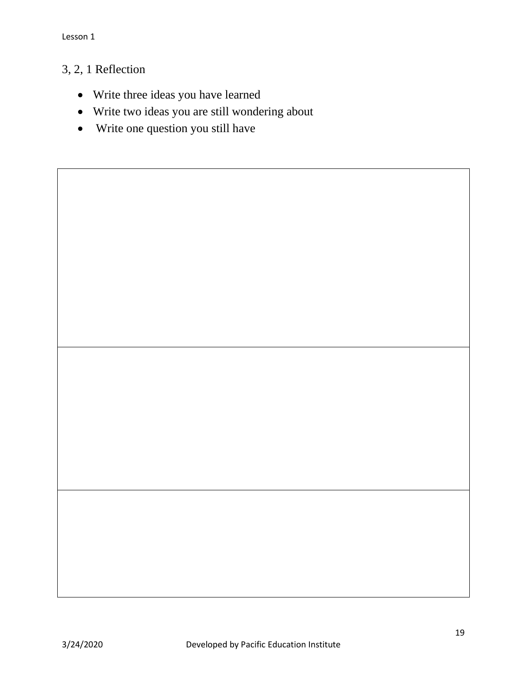### 3, 2, 1 Reflection

- Write three ideas you have learned
- Write two ideas you are still wondering about
- Write one question you still have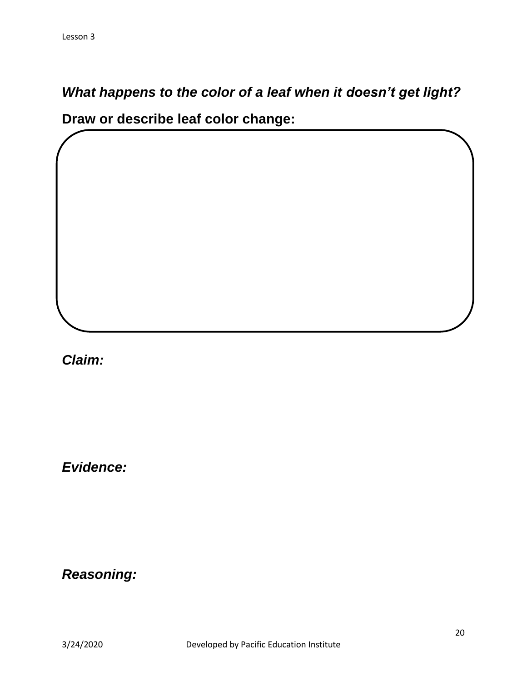*What happens to the color of a leaf when it doesn't get light?*

**Draw or describe leaf color change:**

*Claim:*

*Evidence:*

*Reasoning:*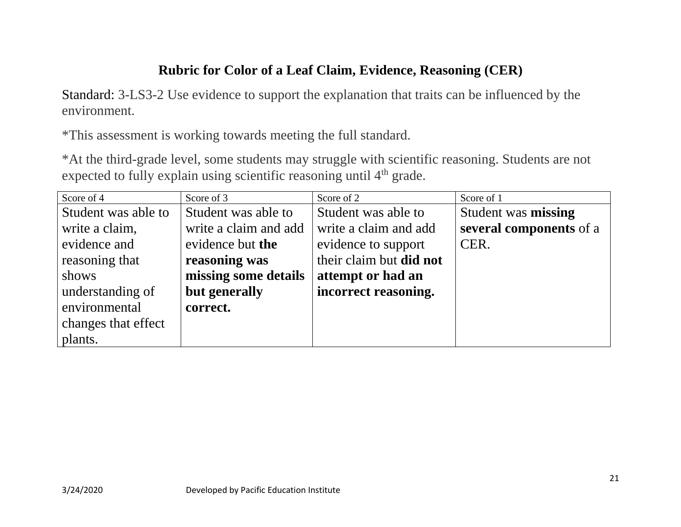## **Rubric for Color of a Leaf Claim, Evidence, Reasoning (CER)**

Standard: 3-LS3-2 Use evidence to support the explanation that traits can be influenced by the environment.

\*This assessment is working towards meeting the full standard.

\*At the third-grade level, some students may struggle with scientific reasoning. Students are not expected to fully explain using scientific reasoning until 4<sup>th</sup> grade.

| Score of 4          | Score of 3            | Score of 2              | Score of 1              |
|---------------------|-----------------------|-------------------------|-------------------------|
| Student was able to | Student was able to   | Student was able to     | Student was missing     |
| write a claim,      | write a claim and add | write a claim and add   | several components of a |
| evidence and        | evidence but the      | evidence to support     | CER.                    |
| reasoning that      | reasoning was         | their claim but did not |                         |
| shows               | missing some details  | attempt or had an       |                         |
| understanding of    | but generally         | incorrect reasoning.    |                         |
| environmental       | correct.              |                         |                         |
| changes that effect |                       |                         |                         |
| plants.             |                       |                         |                         |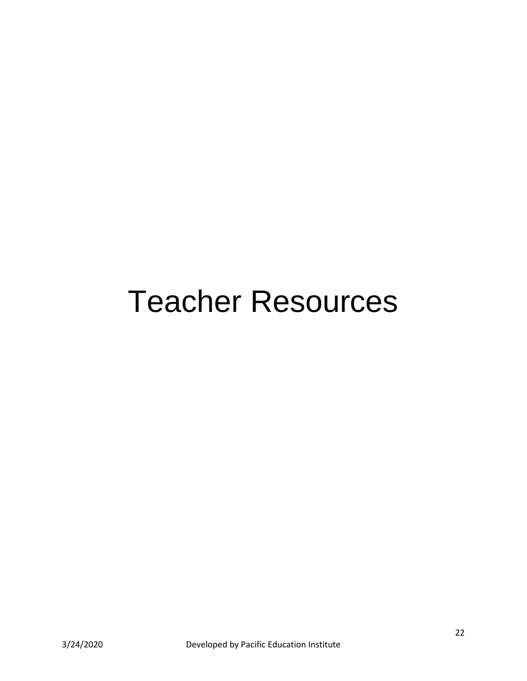# Teacher Resources